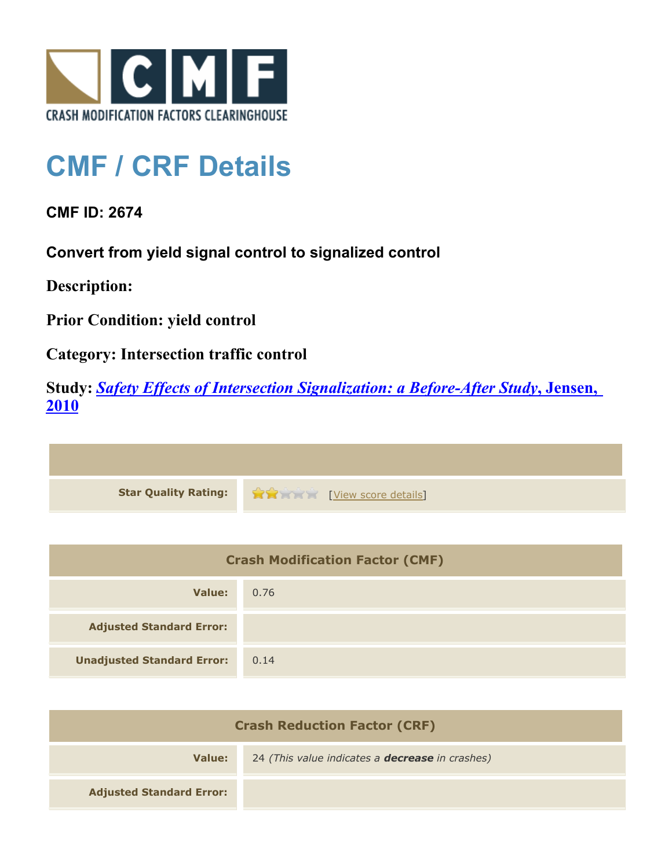

## **CMF / CRF Details**

**CMF ID: 2674**

**Convert from yield signal control to signalized control**

**Description:** 

**Prior Condition: yield control**

**Category: Intersection traffic control**

**Study:** *[Safety Effects of Intersection Signalization: a Before-After Study](http://www.cmfclearinghouse.org/study_detail.cfm?stid=170)***[, Jensen,](http://www.cmfclearinghouse.org/study_detail.cfm?stid=170) [2010](http://www.cmfclearinghouse.org/study_detail.cfm?stid=170)**



| <b>Crash Modification Factor (CMF)</b> |      |
|----------------------------------------|------|
| Value:                                 | 0.76 |
| <b>Adjusted Standard Error:</b>        |      |
| <b>Unadjusted Standard Error:</b>      | 0.14 |

| <b>Crash Reduction Factor (CRF)</b> |                                                        |
|-------------------------------------|--------------------------------------------------------|
| Value:                              | 24 (This value indicates a <b>decrease</b> in crashes) |
| <b>Adjusted Standard Error:</b>     |                                                        |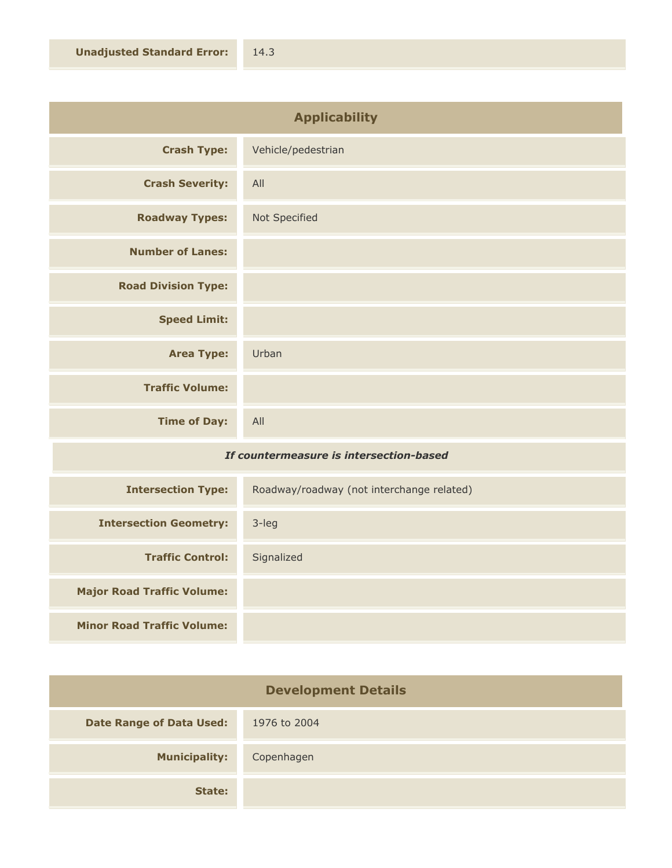| <b>Applicability</b>       |                    |
|----------------------------|--------------------|
| <b>Crash Type:</b>         | Vehicle/pedestrian |
| <b>Crash Severity:</b>     | All                |
| <b>Roadway Types:</b>      | Not Specified      |
| <b>Number of Lanes:</b>    |                    |
| <b>Road Division Type:</b> |                    |
| <b>Speed Limit:</b>        |                    |
| <b>Area Type:</b>          | Urban              |
| <b>Traffic Volume:</b>     |                    |
| <b>Time of Day:</b>        | All                |

## *If countermeasure is intersection-based*

| <b>Intersection Type:</b>         | Roadway/roadway (not interchange related) |
|-----------------------------------|-------------------------------------------|
| <b>Intersection Geometry:</b>     | $3$ -leg                                  |
| <b>Traffic Control:</b>           | Signalized                                |
| <b>Major Road Traffic Volume:</b> |                                           |
| <b>Minor Road Traffic Volume:</b> |                                           |

| <b>Development Details</b>      |              |
|---------------------------------|--------------|
| <b>Date Range of Data Used:</b> | 1976 to 2004 |
| <b>Municipality:</b>            | Copenhagen   |
| State:                          |              |